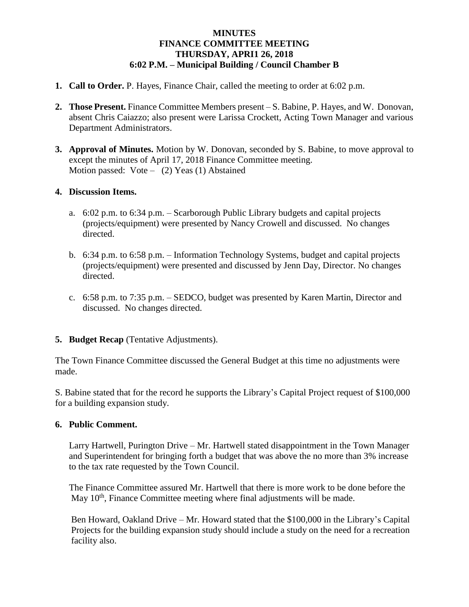## **MINUTES FINANCE COMMITTEE MEETING THURSDAY, APRI1 26, 2018 6:02 P.M. – Municipal Building / Council Chamber B**

- **1. Call to Order.** P. Hayes, Finance Chair, called the meeting to order at 6:02 p.m.
- **2. Those Present.** Finance Committee Members present S. Babine, P. Hayes, and W. Donovan, absent Chris Caiazzo; also present were Larissa Crockett, Acting Town Manager and various Department Administrators.
- **3. Approval of Minutes.** Motion by W. Donovan, seconded by S. Babine, to move approval to except the minutes of April 17, 2018 Finance Committee meeting. Motion passed:  $Vote - (2) Yeas (1) Abstained$

## **4. Discussion Items.**

- a. 6:02 p.m. to 6:34 p.m. Scarborough Public Library budgets and capital projects (projects/equipment) were presented by Nancy Crowell and discussed. No changes directed.
- b. 6:34 p.m. to 6:58 p.m. Information Technology Systems, budget and capital projects (projects/equipment) were presented and discussed by Jenn Day, Director. No changes directed.
- c. 6:58 p.m. to 7:35 p.m. SEDCO, budget was presented by Karen Martin, Director and discussed. No changes directed.
- **5. Budget Recap** (Tentative Adjustments).

The Town Finance Committee discussed the General Budget at this time no adjustments were made.

S. Babine stated that for the record he supports the Library's Capital Project request of \$100,000 for a building expansion study.

## **6. Public Comment.**

Larry Hartwell, Purington Drive – Mr. Hartwell stated disappointment in the Town Manager and Superintendent for bringing forth a budget that was above the no more than 3% increase to the tax rate requested by the Town Council.

 The Finance Committee assured Mr. Hartwell that there is more work to be done before the May 10<sup>th</sup>, Finance Committee meeting where final adjustments will be made.

 Ben Howard, Oakland Drive – Mr. Howard stated that the \$100,000 in the Library's Capital Projects for the building expansion study should include a study on the need for a recreation facility also.